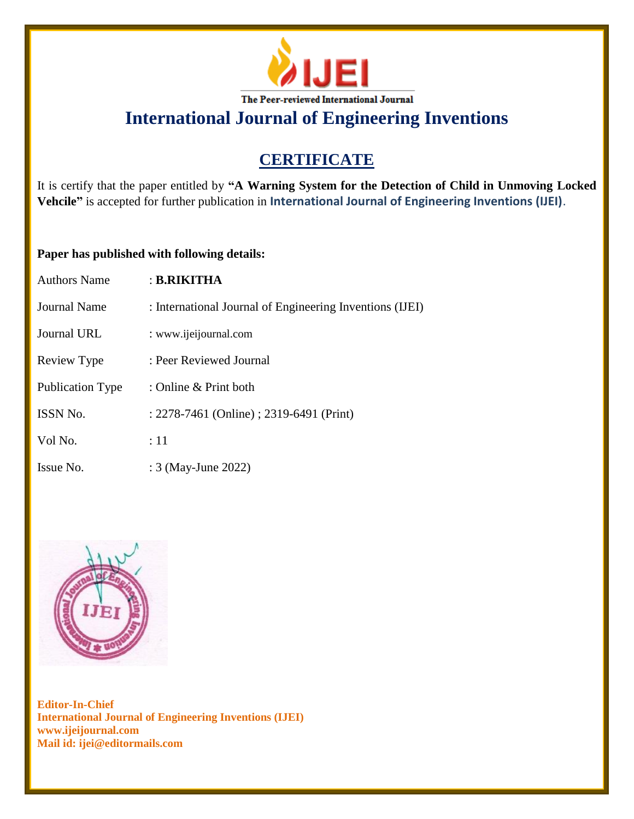

**International Journal of Engineering Inventions**

# **CERTIFICATE**

It is certify that the paper entitled by **"A Warning System for the Detection of Child in Unmoving Locked Vehcile"** is accepted for further publication in **International Journal of Engineering Inventions (IJEI)**.

### **Paper has published with following details:**

| <b>Authors Name</b> | : B.RIKITHA                                              |
|---------------------|----------------------------------------------------------|
| Journal Name        | : International Journal of Engineering Inventions (IJEI) |
| Journal URL         | : www.ijeijournal.com                                    |
| Review Type         | : Peer Reviewed Journal                                  |
| Publication Type    | : Online $&$ Print both                                  |
| <b>ISSN No.</b>     | : 2278-7461 (Online) ; 2319-6491 (Print)                 |
| Vol No.             | :11                                                      |
| Issue No.           | : 3 (May-June 2022)                                      |



**Editor-In-Chief International Journal of Engineering Inventions (IJEI) www.ijeijournal.com Mail id: ijei@editormails.com**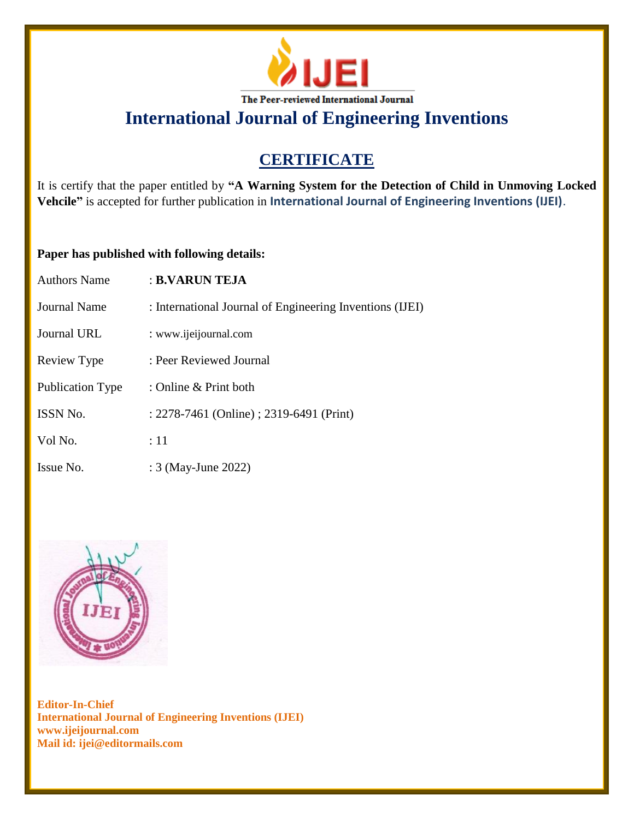

**International Journal of Engineering Inventions**

# **CERTIFICATE**

It is certify that the paper entitled by **"A Warning System for the Detection of Child in Unmoving Locked Vehcile"** is accepted for further publication in **International Journal of Engineering Inventions (IJEI)**.

### **Paper has published with following details:**

| <b>Authors Name</b> | : B.VARUN TEJA                                           |
|---------------------|----------------------------------------------------------|
| Journal Name        | : International Journal of Engineering Inventions (IJEI) |
| Journal URL         | : www.ijeijournal.com                                    |
| Review Type         | : Peer Reviewed Journal                                  |
| Publication Type    | : Online & Print both                                    |
| ISSN No.            | : 2278-7461 (Online) ; 2319-6491 (Print)                 |
| Vol No.             | :11                                                      |
| Issue No.           | : 3 (May-June 2022)                                      |



**Editor-In-Chief International Journal of Engineering Inventions (IJEI) www.ijeijournal.com Mail id: ijei@editormails.com**